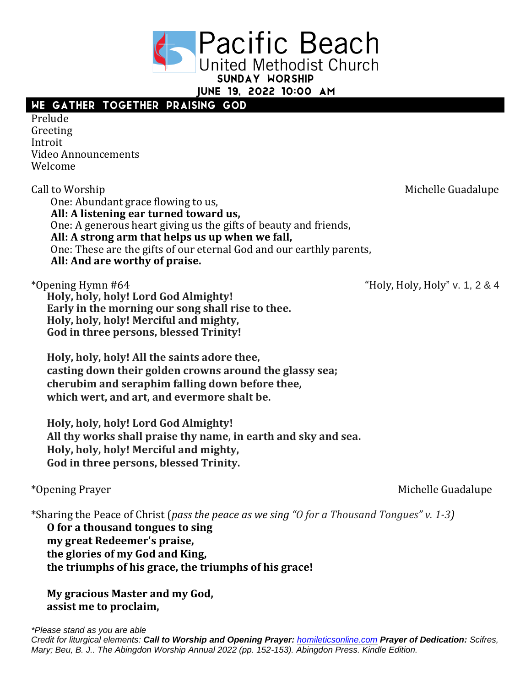**Pacific Beach United Methodist Church** SUNDAY WORSHIP

JUNE 19, 2022 10:00 AM

## WE GATHER TOGETHER PRAISING GOD

Prelude Greeting Introit Video Announcements Welcome

Call to Worship **Call to Worship**  $\alpha$  and  $\alpha$  and  $\alpha$  and  $\alpha$  and  $\alpha$  and  $\alpha$  and  $\alpha$  and  $\alpha$  and  $\alpha$  and  $\alpha$  and  $\alpha$  and  $\alpha$  and  $\alpha$  and  $\alpha$  and  $\alpha$  and  $\alpha$  and  $\alpha$  and  $\alpha$  and  $\alpha$  and  $\alpha$  and  $\alpha$  and One: Abundant grace flowing to us, **All: A listening ear turned toward us,** One: A generous heart giving us the gifts of beauty and friends, **All: A strong arm that helps us up when we fall,** One: These are the gifts of our eternal God and our earthly parents, **All: And are worthy of praise.**

**Holy, holy, holy! Lord God Almighty! Early in the morning our song shall rise to thee. Holy, holy, holy! Merciful and mighty, God in three persons, blessed Trinity!**

**Holy, holy, holy! All the saints adore thee, casting down their golden crowns around the glassy sea; cherubim and seraphim falling down before thee, which wert, and art, and evermore shalt be.**

**Holy, holy, holy! Lord God Almighty! All thy works shall praise thy name, in earth and sky and sea. Holy, holy, holy! Merciful and mighty, God in three persons, blessed Trinity.**

\*Sharing the Peace of Christ (*pass the peace as we sing "O for a Thousand Tongues" v. 1-3)*

**O for a thousand tongues to sing my great Redeemer's praise, the glories of my God and King, the triumphs of his grace, the triumphs of his grace!**

**My gracious Master and my God, assist me to proclaim,**

\*Opening Hymn #64 "Holy, Holy, Holy" v. 1, 2 & 4

\*Opening Prayer and the state of the state of the Michelle Guadalupe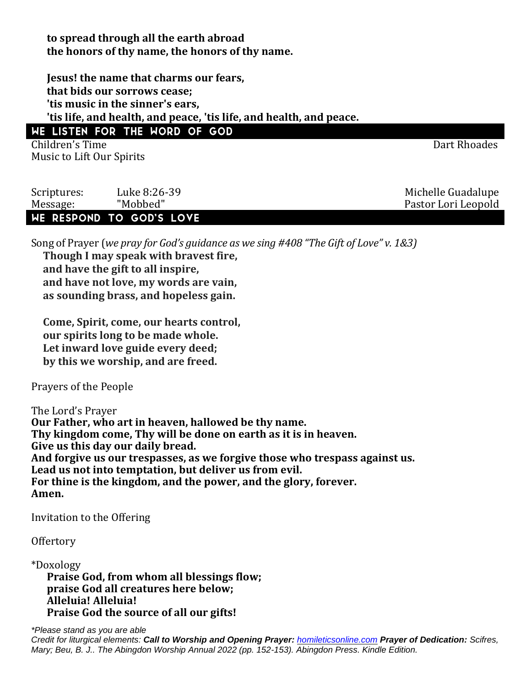**to spread through all the earth abroad the honors of thy name, the honors of thy name.**

**Jesus! the name that charms our fears, that bids our sorrows cease; 'tis music in the sinner's ears, 'tis life, and health, and peace, 'tis life, and health, and peace.** WE LISTEN FOR THE WORD OF GOD

Children's Time **Dart Rhoades** Music to Lift Our Spirits

Scriptures: Luke 8:26-39 Contract Contract Contract Michelle Guadalupe Message: "Mobbed" Pastor Lori Leopold

## WE RESPOND TO GOD'S LOVE

Song of Prayer (*we pray for God's guidance as we sing #408 "The Gift of Love" v. 1&3)*

**Though I may speak with bravest fire, and have the gift to all inspire, and have not love, my words are vain, as sounding brass, and hopeless gain.**

**Come, Spirit, come, our hearts control, our spirits long to be made whole. Let inward love guide every deed; by this we worship, and are freed.**

Prayers of the People

The Lord's Prayer **Our Father, who art in heaven, hallowed be thy name. Thy kingdom come, Thy will be done on earth as it is in heaven. Give us this day our daily bread. And forgive us our trespasses, as we forgive those who trespass against us. Lead us not into temptation, but deliver us from evil. For thine is the kingdom, and the power, and the glory, forever. Amen.**

Invitation to the Offering

**Offertory** 

\*Doxology **Praise God, from whom all blessings flow; praise God all creatures here below; Alleluia! Alleluia! Praise God the source of all our gifts!**

*\*Please stand as you are able Credit for liturgical elements: Call to Worship and Opening Prayer: [homileticsonline.com](http://homileticsonline.com/) Prayer of Dedication: Scifres, Mary; Beu, B. J.. The Abingdon Worship Annual 2022 (pp. 152-153). Abingdon Press. Kindle Edition.*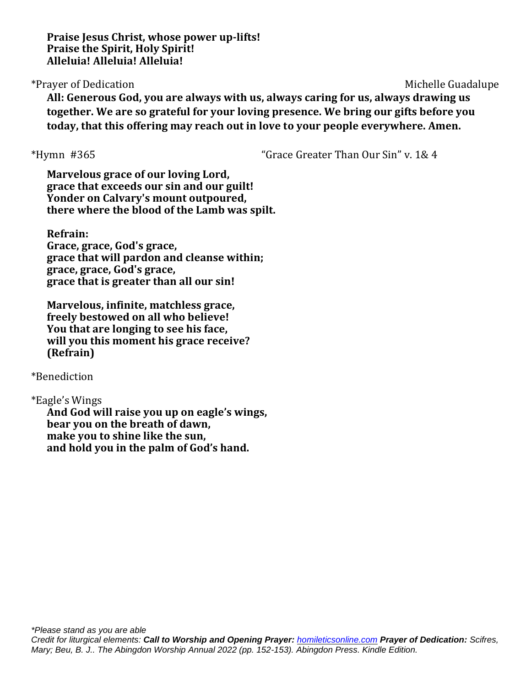**Praise Jesus Christ, whose power up-lifts! Praise the Spirit, Holy Spirit! Alleluia! Alleluia! Alleluia!**

## \*Prayer of Dedication Michelle Guadalupe

**All: Generous God, you are always with us, always caring for us, always drawing us together. We are so grateful for your loving presence. We bring our gifts before you today, that this offering may reach out in love to your people everywhere. Amen.**

\*Hymn #365 "Grace Greater Than Our Sin" v. 1& 4

**Marvelous grace of our loving Lord, grace that exceeds our sin and our guilt! Yonder on Calvary's mount outpoured, there where the blood of the Lamb was spilt.**

**Refrain:**

**Grace, grace, God's grace, grace that will pardon and cleanse within; grace, grace, God's grace, grace that is greater than all our sin!**

**Marvelous, infinite, matchless grace, freely bestowed on all who believe! You that are longing to see his face, will you this moment his grace receive? (Refrain)**

\*Benediction

\*Eagle's Wings **And God will raise you up on eagle's wings, bear you on the breath of dawn, make you to shine like the sun, and hold you in the palm of God's hand.**